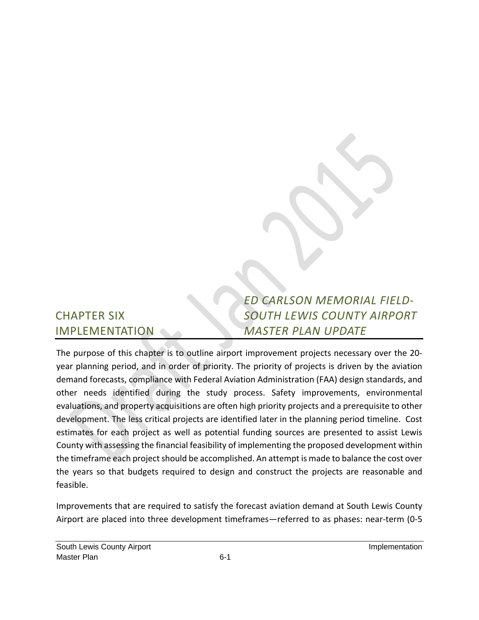# CHAPTER SIX IMPLEMENTATION

# *ED CARLSON MEMORIAL FIELD‐ SOUTH LEWIS COUNTY AIRPORT MASTER PLAN UPDATE*

The purpose of this chapter is to outline airport improvement projects necessary over the 20‐ year planning period, and in order of priority. The priority of projects is driven by the aviation demand forecasts, compliance with Federal Aviation Administration (FAA) design standards, and other needs identified during the study process. Safety improvements, environmental evaluations, and property acquisitions are often high priority projects and a prerequisite to other development. The less critical projects are identified later in the planning period timeline. Cost estimates for each project as well as potential funding sources are presented to assist Lewis County with assessing the financial feasibility of implementing the proposed development within the timeframe each project should be accomplished. An attempt is made to balance the cost over the years so that budgets required to design and construct the projects are reasonable and feasible.

Improvements that are required to satisfy the forecast aviation demand at South Lewis County Airport are placed into three development timeframes—referred to as phases: near‐term (0‐5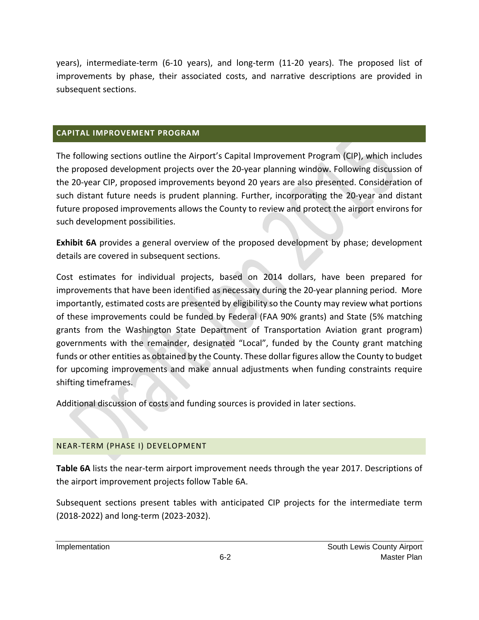years), intermediate‐term (6‐10 years), and long‐term (11‐20 years). The proposed list of improvements by phase, their associated costs, and narrative descriptions are provided in subsequent sections.

#### **CAPITAL IMPROVEMENT PROGRAM**

The following sections outline the Airport's Capital Improvement Program (CIP), which includes the proposed development projects over the 20‐year planning window. Following discussion of the 20‐year CIP, proposed improvements beyond 20 years are also presented. Consideration of such distant future needs is prudent planning. Further, incorporating the 20‐year and distant future proposed improvements allows the County to review and protect the airport environs for such development possibilities.

**Exhibit 6A** provides a general overview of the proposed development by phase; development details are covered in subsequent sections.

Cost estimates for individual projects, based on 2014 dollars, have been prepared for improvements that have been identified as necessary during the 20-year planning period. More importantly, estimated costs are presented by eligibility so the County may review what portions of these improvements could be funded by Federal (FAA 90% grants) and State (5% matching grants from the Washington State Department of Transportation Aviation grant program) governments with the remainder, designated "Local", funded by the County grant matching funds or other entities as obtained by the County. These dollar figures allow the County to budget for upcoming improvements and make annual adjustments when funding constraints require shifting timeframes.

Additional discussion of costs and funding sources is provided in later sections.

#### NEAR‐TERM (PHASE I) DEVELOPMENT

**Table 6A** lists the near‐term airport improvement needs through the year 2017. Descriptions of the airport improvement projects follow Table 6A.

Subsequent sections present tables with anticipated CIP projects for the intermediate term (2018‐2022) and long‐term (2023‐2032).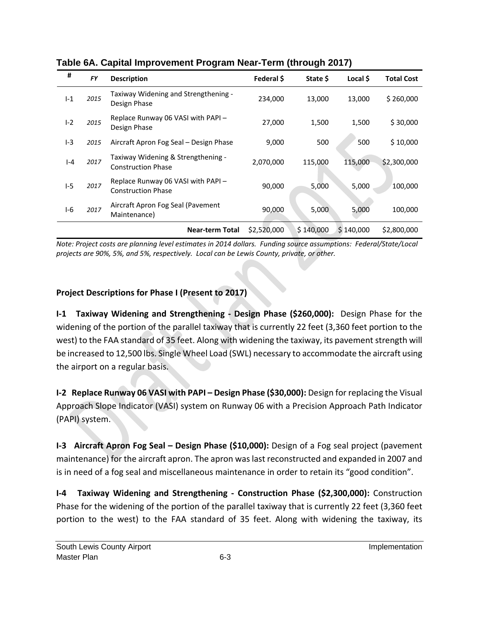| #       | <b>FY</b> | <b>Description</b>                                              | Federal \$  | State \$  | Local \$  | <b>Total Cost</b> |
|---------|-----------|-----------------------------------------------------------------|-------------|-----------|-----------|-------------------|
| $I-1$   | 2015      | Taxiway Widening and Strengthening -<br>Design Phase            | 234,000     | 13,000    | 13,000    | \$260,000         |
| $ -2$   | 2015      | Replace Runway 06 VASI with PAPI -<br>Design Phase              | 27,000      | 1,500     | 1,500     | \$30,000          |
| $I-3$   | 2015      | Aircraft Apron Fog Seal - Design Phase                          | 9,000       | 500       | 500       | \$10,000          |
| $I - 4$ | 2017      | Taxiway Widening & Strengthening -<br><b>Construction Phase</b> | 2,070,000   | 115,000   | 115,000   | \$2,300,000       |
| $I-5$   | 2017      | Replace Runway 06 VASI with PAPI -<br><b>Construction Phase</b> | 90,000      | 5,000     | 5,000     | 100,000           |
| $I-6$   | 2017      | Aircraft Apron Fog Seal (Pavement<br>Maintenance)               | 90,000      | 5,000     | 5,000     | 100,000           |
|         |           | <b>Near-term Total</b>                                          | \$2,520,000 | \$140,000 | \$140,000 | \$2,800,000       |

**Table 6A. Capital Improvement Program Near-Term (through 2017)** 

Note: Project costs are planning level estimates in 2014 dollars. Funding source assumptions: Federal/State/Local *projects are 90%, 5%, and 5%, respectively. Local can be Lewis County, private, or other.* 

# **Project Descriptions for Phase I (Present to 2017)**

**I‐1 Taxiway Widening and Strengthening ‐ Design Phase (\$260,000):** Design Phase for the widening of the portion of the parallel taxiway that is currently 22 feet (3,360 feet portion to the west) to the FAA standard of 35 feet. Along with widening the taxiway, its pavement strength will be increased to 12,500 lbs. Single Wheel Load (SWL) necessary to accommodate the aircraft using the airport on a regular basis.

**I‐2 Replace Runway 06 VASI with PAPI – Design Phase (\$30,000):** Design for replacing the Visual Approach Slope Indicator (VASI) system on Runway 06 with a Precision Approach Path Indicator (PAPI) system.

**I‐3 Aircraft Apron Fog Seal – Design Phase (\$10,000):** Design of a Fog seal project (pavement maintenance) for the aircraft apron. The apron waslast reconstructed and expanded in 2007 and is in need of a fog seal and miscellaneous maintenance in order to retain its "good condition".

**I‐4 Taxiway Widening and Strengthening ‐ Construction Phase (\$2,300,000):** Construction Phase for the widening of the portion of the parallel taxiway that is currently 22 feet (3,360 feet portion to the west) to the FAA standard of 35 feet. Along with widening the taxiway, its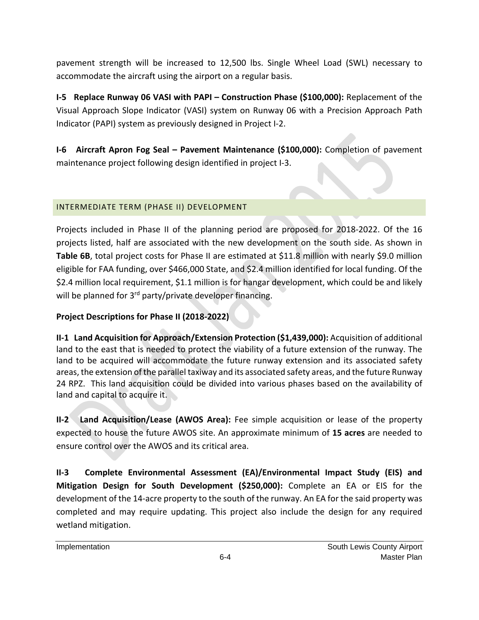pavement strength will be increased to 12,500 lbs. Single Wheel Load (SWL) necessary to accommodate the aircraft using the airport on a regular basis.

**I‐5 Replace Runway 06 VASI with PAPI – Construction Phase (\$100,000):** Replacement of the Visual Approach Slope Indicator (VASI) system on Runway 06 with a Precision Approach Path Indicator (PAPI) system as previously designed in Project I‐2.

**I‐6 Aircraft Apron Fog Seal – Pavement Maintenance (\$100,000):** Completion of pavement maintenance project following design identified in project I‐3.

## INTERMEDIATE TERM (PHASE II) DEVELOPMENT

Projects included in Phase II of the planning period are proposed for 2018‐2022. Of the 16 projects listed, half are associated with the new development on the south side. As shown in **Table 6B**, total project costs for Phase II are estimated at \$11.8 million with nearly \$9.0 million eligible for FAA funding, over \$466,000 State, and \$2.4 million identified for local funding. Of the \$2.4 million local requirement, \$1.1 million is for hangar development, which could be and likely will be planned for 3<sup>rd</sup> party/private developer financing.

## **Project Descriptions for Phase II (2018‐2022)**

**II‐1 Land Acquisition for Approach/Extension Protection (\$1,439,000):** Acquisition of additional land to the east that is needed to protect the viability of a future extension of the runway. The land to be acquired will accommodate the future runway extension and its associated safety areas, the extension of the parallel taxiway and its associated safety areas, and the future Runway 24 RPZ. This land acquisition could be divided into various phases based on the availability of land and capital to acquire it.

**II‐2 Land Acquisition/Lease (AWOS Area):** Fee simple acquisition or lease of the property expected to house the future AWOS site. An approximate minimum of **15 acres** are needed to ensure control over the AWOS and its critical area.

**II‐3 Complete Environmental Assessment (EA)/Environmental Impact Study (EIS) and Mitigation Design for South Development (\$250,000):** Complete an EA or EIS for the development of the 14‐acre property to the south of the runway. An EA for the said property was completed and may require updating. This project also include the design for any required wetland mitigation.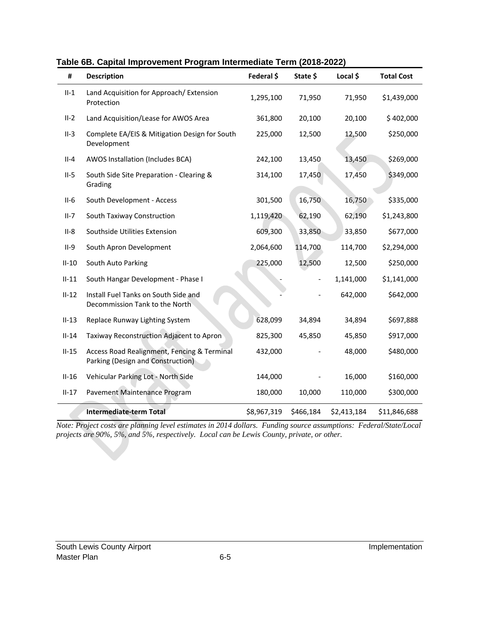| #       | <b>Description</b>                                                               | Federal \$  | State \$  | Local \$    | <b>Total Cost</b> |
|---------|----------------------------------------------------------------------------------|-------------|-----------|-------------|-------------------|
| $II-1$  | Land Acquisition for Approach/ Extension<br>Protection                           | 1,295,100   | 71,950    | 71,950      | \$1,439,000       |
| $II-2$  | Land Acquisition/Lease for AWOS Area                                             | 361,800     | 20,100    | 20,100      | \$402,000         |
| $II-3$  | Complete EA/EIS & Mitigation Design for South<br>Development                     | 225,000     | 12,500    | 12,500      | \$250,000         |
| $II-4$  | AWOS Installation (Includes BCA)                                                 | 242,100     | 13,450    | 13,450      | \$269,000         |
| $II-5$  | South Side Site Preparation - Clearing &<br>Grading                              | 314,100     | 17,450    | 17,450      | \$349,000         |
| $II-6$  | South Development - Access                                                       | 301,500     | 16,750    | 16,750      | \$335,000         |
| $II-7$  | South Taxiway Construction                                                       | 1,119,420   | 62,190    | 62,190      | \$1,243,800       |
| $II-8$  | Southside Utilities Extension                                                    | 609,300     | 33,850    | 33,850      | \$677,000         |
| $II-9$  | South Apron Development                                                          | 2,064,600   | 114,700   | 114,700     | \$2,294,000       |
| $II-10$ | South Auto Parking                                                               | 225,000     | 12,500    | 12,500      | \$250,000         |
| $II-11$ | South Hangar Development - Phase I                                               |             |           | 1,141,000   | \$1,141,000       |
| $II-12$ | Install Fuel Tanks on South Side and<br>Decommission Tank to the North           |             |           | 642,000     | \$642,000         |
| $II-13$ | Replace Runway Lighting System                                                   | 628,099     | 34,894    | 34,894      | \$697,888         |
| $II-14$ | Taxiway Reconstruction Adjacent to Apron                                         | 825,300     | 45,850    | 45,850      | \$917,000         |
| $II-15$ | Access Road Realignment, Fencing & Terminal<br>Parking (Design and Construction) | 432,000     |           | 48,000      | \$480,000         |
| $II-16$ | Vehicular Parking Lot - North Side                                               | 144,000     |           | 16,000      | \$160,000         |
| $II-17$ | Pavement Maintenance Program                                                     | 180,000     | 10,000    | 110,000     | \$300,000         |
|         | <b>Intermediate-term Total</b>                                                   | \$8,967,319 | \$466,184 | \$2,413,184 | \$11,846,688      |

#### **Table 6B. Capital Improvement Program Intermediate Term (2018-2022)**

*Note: Project costs are planning level estimates in 2014 dollars. Funding source assumptions: Federal/State/Local projects are 90%, 5%, and 5%, respectively. Local can be Lewis County, private, or other.*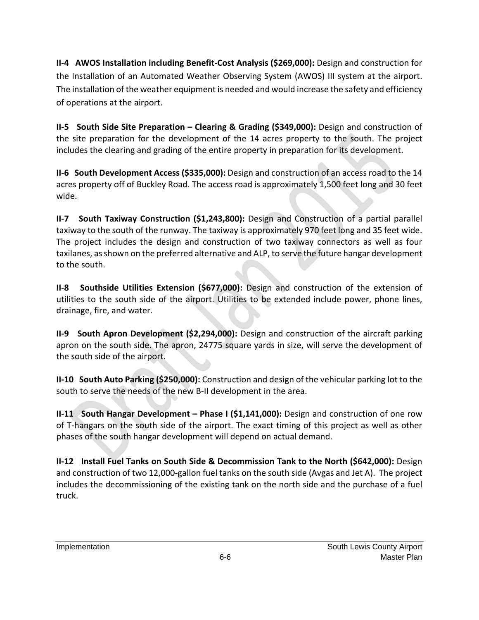**II‐4 AWOS Installation including Benefit‐Cost Analysis (\$269,000):** Design and construction for the Installation of an Automated Weather Observing System (AWOS) III system at the airport. The installation of the weather equipment is needed and would increase the safety and efficiency of operations at the airport.

**II‐5 South Side Site Preparation – Clearing & Grading (\$349,000):** Design and construction of the site preparation for the development of the 14 acres property to the south. The project includes the clearing and grading of the entire property in preparation for its development.

**II‐6 South Development Access (\$335,000):** Design and construction of an access road to the 14 acres property off of Buckley Road. The access road is approximately 1,500 feet long and 30 feet wide.

**II‐7 South Taxiway Construction (\$1,243,800):** Design and Construction of a partial parallel taxiway to the south of the runway. The taxiway is approximately 970 feet long and 35 feet wide. The project includes the design and construction of two taxiway connectors as well as four taxilanes, asshown on the preferred alternative and ALP, to serve the future hangar development to the south.

**II‐8 Southside Utilities Extension (\$677,000):** Design and construction of the extension of utilities to the south side of the airport. Utilities to be extended include power, phone lines, drainage, fire, and water.

**II‐9 South Apron Development (\$2,294,000):** Design and construction of the aircraft parking apron on the south side. The apron, 24775 square yards in size, will serve the development of the south side of the airport.

**II‐10 South Auto Parking (\$250,000):** Construction and design of the vehicular parking lot to the south to serve the needs of the new B‐II development in the area.

**II‐11 South Hangar Development – Phase I (\$1,141,000):** Design and construction of one row of T-hangars on the south side of the airport. The exact timing of this project as well as other phases of the south hangar development will depend on actual demand.

**II‐12 Install Fuel Tanks on South Side & Decommission Tank to the North (\$642,000):** Design and construction of two 12,000‐gallon fuel tanks on the south side (Avgas and Jet A). The project includes the decommissioning of the existing tank on the north side and the purchase of a fuel truck.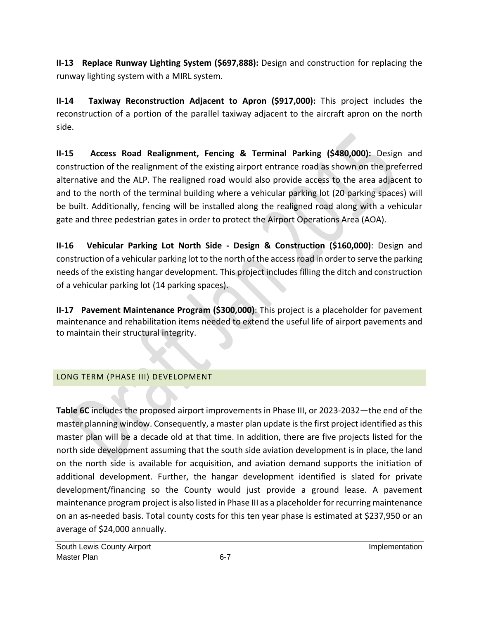**II‐13 Replace Runway Lighting System (\$697,888):** Design and construction for replacing the runway lighting system with a MIRL system.

**II‐14 Taxiway Reconstruction Adjacent to Apron (\$917,000):** This project includes the reconstruction of a portion of the parallel taxiway adjacent to the aircraft apron on the north side.

**II‐15 Access Road Realignment, Fencing & Terminal Parking (\$480,000):** Design and construction of the realignment of the existing airport entrance road as shown on the preferred alternative and the ALP. The realigned road would also provide access to the area adjacent to and to the north of the terminal building where a vehicular parking lot (20 parking spaces) will be built. Additionally, fencing will be installed along the realigned road along with a vehicular gate and three pedestrian gates in order to protect the Airport Operations Area (AOA).

**II‐16 Vehicular Parking Lot North Side ‐ Design & Construction (\$160,000)**: Design and construction of a vehicular parking lot to the north of the accessroad in order to serve the parking needs of the existing hangar development. This project includes filling the ditch and construction of a vehicular parking lot (14 parking spaces).

**II‐17 Pavement Maintenance Program (\$300,000)**: This project is a placeholder for pavement maintenance and rehabilitation items needed to extend the useful life of airport pavements and to maintain their structural integrity.

# LONG TERM (PHASE III) DEVELOPMENT

**Table 6C** includes the proposed airport improvements in Phase III, or 2023-2032—the end of the master planning window. Consequently, a master plan update is the first project identified as this master plan will be a decade old at that time. In addition, there are five projects listed for the north side development assuming that the south side aviation development is in place, the land on the north side is available for acquisition, and aviation demand supports the initiation of additional development. Further, the hangar development identified is slated for private development/financing so the County would just provide a ground lease. A pavement maintenance program project is also listed in Phase III as a placeholder for recurring maintenance on an as‐needed basis. Total county costs for this ten year phase is estimated at \$237,950 or an average of \$24,000 annually.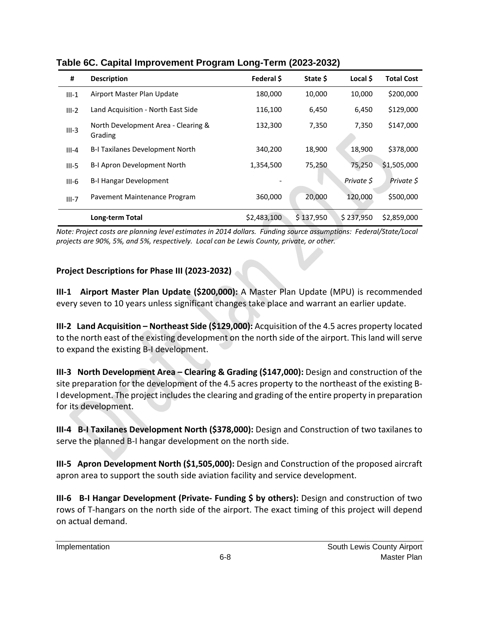| #         | <b>Description</b>                             | Federal \$  | State \$  | Local \$   | <b>Total Cost</b> |
|-----------|------------------------------------------------|-------------|-----------|------------|-------------------|
| $III-1$   | Airport Master Plan Update                     | 180,000     | 10,000    | 10,000     | \$200,000         |
| $III-2$   | Land Acquisition - North East Side             | 116,100     | 6,450     | 6,450      | \$129,000         |
| $III-3$   | North Development Area - Clearing &<br>Grading | 132,300     | 7,350     | 7,350      | \$147,000         |
| $III - 4$ | B-I Taxilanes Development North                | 340,200     | 18,900    | 18,900     | \$378,000         |
| $III-5$   | B-I Apron Development North                    | 1,354,500   | 75,250    | 75,250     | \$1,505,000       |
| $III-6$   | <b>B-I Hangar Development</b>                  |             |           | Private \$ | Private \$        |
| $III-7$   | Pavement Maintenance Program                   | 360,000     | 20,000    | 120,000    | \$500,000         |
|           | Long-term Total                                | \$2,483,100 | \$137,950 | \$237,950  | \$2,859,000       |

**Table 6C. Capital Improvement Program Long-Term (2023-2032)** 

Note: Project costs are planning level estimates in 2014 dollars. Funding source assumptions: Federal/State/Local *projects are 90%, 5%, and 5%, respectively. Local can be Lewis County, private, or other.* 

### **Project Descriptions for Phase III (2023‐2032)**

**III‐1 Airport Master Plan Update (\$200,000):** A Master Plan Update (MPU) is recommended every seven to 10 years unless significant changes take place and warrant an earlier update.

**III‐2 Land Acquisition – Northeast Side (\$129,000):** Acquisition of the 4.5 acres property located to the north east of the existing development on the north side of the airport. This land will serve to expand the existing B‐I development.

**III‐3 North Development Area – Clearing & Grading (\$147,000):** Design and construction of the site preparation for the development of the 4.5 acres property to the northeast of the existing B‐ I development. The project includes the clearing and grading of the entire property in preparation for its development.

**III‐4 B‐I Taxilanes Development North (\$378,000):** Design and Construction of two taxilanes to serve the planned B-I hangar development on the north side.

**III‐5 Apron Development North (\$1,505,000):** Design and Construction of the proposed aircraft apron area to support the south side aviation facility and service development.

**III‐6 B‐I Hangar Development (Private‐ Funding \$ by others):** Design and construction of two rows of T-hangars on the north side of the airport. The exact timing of this project will depend on actual demand.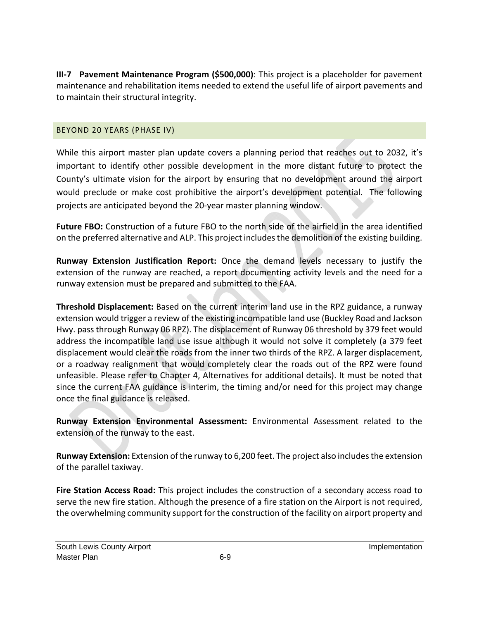**III‐7 Pavement Maintenance Program (\$500,000)**: This project is a placeholder for pavement maintenance and rehabilitation items needed to extend the useful life of airport pavements and to maintain their structural integrity.

#### BEYOND 20 YEARS (PHASE IV)

While this airport master plan update covers a planning period that reaches out to 2032, it's important to identify other possible development in the more distant future to protect the County's ultimate vision for the airport by ensuring that no development around the airport would preclude or make cost prohibitive the airport's development potential. The following projects are anticipated beyond the 20‐year master planning window.

**Future FBO:** Construction of a future FBO to the north side of the airfield in the area identified on the preferred alternative and ALP. This project includesthe demolition of the existing building.

**Runway Extension Justification Report:** Once the demand levels necessary to justify the extension of the runway are reached, a report documenting activity levels and the need for a runway extension must be prepared and submitted to the FAA.

**Threshold Displacement:** Based on the current interim land use in the RPZ guidance, a runway extension would trigger a review of the existing incompatible land use (Buckley Road and Jackson Hwy. passthrough Runway 06 RPZ). The displacement of Runway 06 threshold by 379 feet would address the incompatible land use issue although it would not solve it completely (a 379 feet displacement would clear the roads from the inner two thirds of the RPZ. A larger displacement, or a roadway realignment that would completely clear the roads out of the RPZ were found unfeasible. Please refer to Chapter 4, Alternatives for additional details). It must be noted that since the current FAA guidance is interim, the timing and/or need for this project may change once the final guidance is released.

**Runway Extension Environmental Assessment:** Environmental Assessment related to the extension of the runway to the east.

**Runway Extension:** Extension of the runway to 6,200 feet. The project also includes the extension of the parallel taxiway.

**Fire Station Access Road:** This project includes the construction of a secondary access road to serve the new fire station. Although the presence of a fire station on the Airport is not required, the overwhelming community support for the construction of the facility on airport property and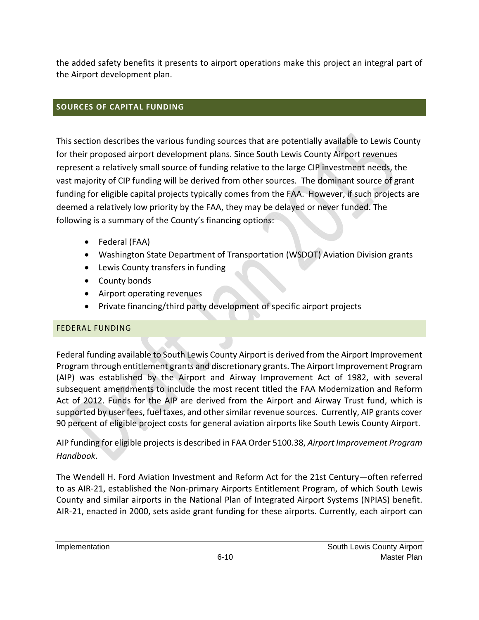the added safety benefits it presents to airport operations make this project an integral part of the Airport development plan.

## **SOURCES OF CAPITAL FUNDING**

This section describes the various funding sources that are potentially available to Lewis County for their proposed airport development plans. Since South Lewis County Airport revenues represent a relatively small source of funding relative to the large CIP investment needs, the vast majority of CIP funding will be derived from other sources. The dominant source of grant funding for eligible capital projects typically comes from the FAA. However, if such projects are deemed a relatively low priority by the FAA, they may be delayed or never funded. The following is a summary of the County's financing options:

- Federal (FAA)
- Washington State Department of Transportation (WSDOT) Aviation Division grants
- Lewis County transfers in funding
- County bonds
- Airport operating revenues
- Private financing/third party development of specific airport projects

## FEDERAL FUNDING

Federal funding available to South Lewis County Airport is derived from the Airport Improvement Program through entitlement grants and discretionary grants. The Airport Improvement Program (AIP) was established by the Airport and Airway Improvement Act of 1982, with several subsequent amendments to include the most recent titled the FAA Modernization and Reform Act of 2012. Funds for the AIP are derived from the Airport and Airway Trust fund, which is supported by user fees, fuel taxes, and other similar revenue sources. Currently, AIP grants cover 90 percent of eligible project costs for general aviation airports like South Lewis County Airport.

AIP funding for eligible projectsis described in FAA Order 5100.38, *Airport Improvement Program Handbook*.

The Wendell H. Ford Aviation Investment and Reform Act for the 21st Century—often referred to as AIR‐21, established the Non‐primary Airports Entitlement Program, of which South Lewis County and similar airports in the National Plan of Integrated Airport Systems (NPIAS) benefit. AIR‐21, enacted in 2000, sets aside grant funding for these airports. Currently, each airport can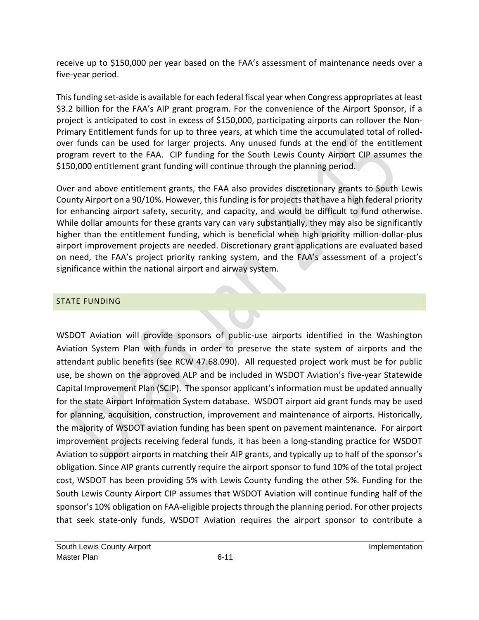receive up to \$150,000 per year based on the FAA's assessment of maintenance needs over a five‐year period.

Thisfunding set‐aside is available for each federal fiscal year when Congress appropriates at least \$3.2 billion for the FAA's AIP grant program. For the convenience of the Airport Sponsor, if a project is anticipated to cost in excess of \$150,000, participating airports can rollover the Non-Primary Entitlement funds for up to three years, at which time the accumulated total of rolled‐ over funds can be used for larger projects. Any unused funds at the end of the entitlement program revert to the FAA. CIP funding for the South Lewis County Airport CIP assumes the \$150,000 entitlement grant funding will continue through the planning period.

Over and above entitlement grants, the FAA also provides discretionary grants to South Lewis County Airport on a 90/10%. However, this funding is for projects that have a high federal priority for enhancing airport safety, security, and capacity, and would be difficult to fund otherwise. While dollar amounts for these grants vary can vary substantially, they may also be significantly higher than the entitlement funding, which is beneficial when high priority million-dollar-plus airport improvement projects are needed. Discretionary grant applications are evaluated based on need, the FAA's project priority ranking system, and the FAA's assessment of a project's significance within the national airport and airway system.

### STATE FUNDING

WSDOT Aviation will provide sponsors of public-use airports identified in the Washington Aviation System Plan with funds in order to preserve the state system of airports and the attendant public benefits (see RCW 47.68.090). All requested project work must be for public use, be shown on the approved ALP and be included in WSDOT Aviation's five‐year Statewide Capital Improvement Plan (SCIP). The sponsor applicant'sinformation must be updated annually for the state Airport Information System database. WSDOT airport aid grant funds may be used for planning, acquisition, construction, improvement and maintenance of airports. Historically, the majority of WSDOT aviation funding has been spent on pavement maintenance. For airport improvement projects receiving federal funds, it has been a long‐standing practice for WSDOT Aviation to support airports in matching their AIP grants, and typically up to half of the sponsor's obligation. Since AIP grants currently require the airport sponsor to fund 10% of the total project cost, WSDOT has been providing 5% with Lewis County funding the other 5%. Funding for the South Lewis County Airport CIP assumes that WSDOT Aviation will continue funding half of the sponsor's 10% obligation on FAA-eligible projects through the planning period. For other projects that seek state‐only funds, WSDOT Aviation requires the airport sponsor to contribute a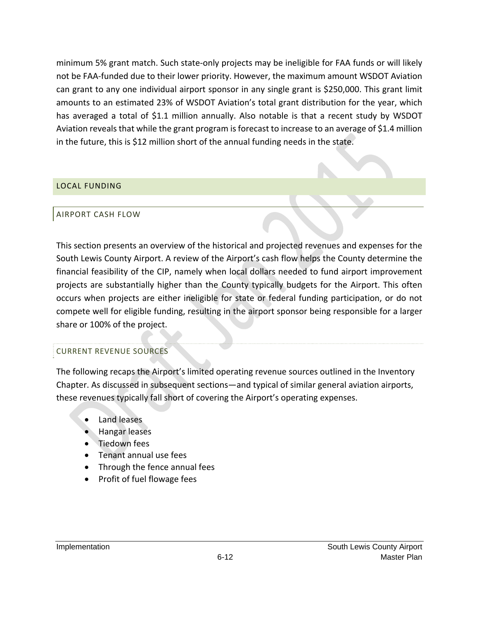minimum 5% grant match. Such state‐only projects may be ineligible for FAA funds or will likely not be FAA‐funded due to their lower priority. However, the maximum amount WSDOT Aviation can grant to any one individual airport sponsor in any single grant is \$250,000. This grant limit amounts to an estimated 23% of WSDOT Aviation's total grant distribution for the year, which has averaged a total of \$1.1 million annually. Also notable is that a recent study by WSDOT Aviation reveals that while the grant program is forecast to increase to an average of \$1.4 million in the future, this is \$12 million short of the annual funding needs in the state.

#### LOCAL FUNDING

#### AIRPORT CASH FLOW

This section presents an overview of the historical and projected revenues and expenses for the South Lewis County Airport. A review of the Airport's cash flow helps the County determine the financial feasibility of the CIP, namely when local dollars needed to fund airport improvement projects are substantially higher than the County typically budgets for the Airport. This often occurs when projects are either ineligible for state or federal funding participation, or do not compete well for eligible funding, resulting in the airport sponsor being responsible for a larger share or 100% of the project.

#### CURRENT REVENUE SOURCES

The following recaps the Airport's limited operating revenue sources outlined in the Inventory Chapter. As discussed in subsequent sections—and typical of similar general aviation airports, these revenues typically fall short of covering the Airport's operating expenses.

- Land leases
- Hangar leases
- Tiedown fees
- Tenant annual use fees
- Through the fence annual fees
- Profit of fuel flowage fees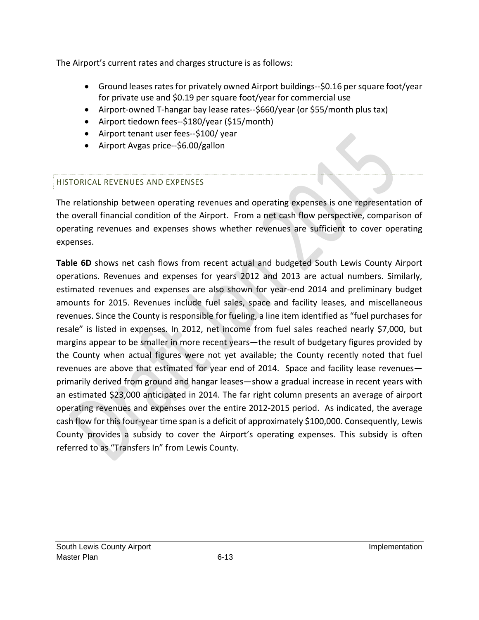The Airport's current rates and charges structure is as follows:

- Ground leases rates for privately owned Airport buildings--\$0.16 per square foot/year for private use and \$0.19 per square foot/year for commercial use
- Airport-owned T-hangar bay lease rates--\$660/year (or \$55/month plus tax)
- Airport tiedown fees--\$180/year (\$15/month)
- Airport tenant user fees--\$100/ year
- Airport Avgas price--\$6.00/gallon

# HISTORICAL REVENUES AND EXPENSES

The relationship between operating revenues and operating expenses is one representation of the overall financial condition of the Airport. From a net cash flow perspective, comparison of operating revenues and expenses shows whether revenues are sufficient to cover operating expenses.

**Table 6D** shows net cash flows from recent actual and budgeted South Lewis County Airport operations. Revenues and expenses for years 2012 and 2013 are actual numbers. Similarly, estimated revenues and expenses are also shown for year-end 2014 and preliminary budget amounts for 2015. Revenues include fuel sales, space and facility leases, and miscellaneous revenues. Since the County is responsible for fueling, a line item identified as "fuel purchases for resale" is listed in expenses. In 2012, net income from fuel sales reached nearly \$7,000, but margins appear to be smaller in more recent years—the result of budgetary figures provided by the County when actual figures were not yet available; the County recently noted that fuel revenues are above that estimated for year end of 2014. Space and facility lease revenues primarily derived from ground and hangar leases—show a gradual increase in recent years with an estimated \$23,000 anticipated in 2014. The far right column presents an average of airport operating revenues and expenses over the entire 2012‐2015 period. As indicated, the average cash flow for this four-year time span is a deficit of approximately \$100,000. Consequently, Lewis County provides a subsidy to cover the Airport's operating expenses. This subsidy is often referred to as "Transfers In" from Lewis County.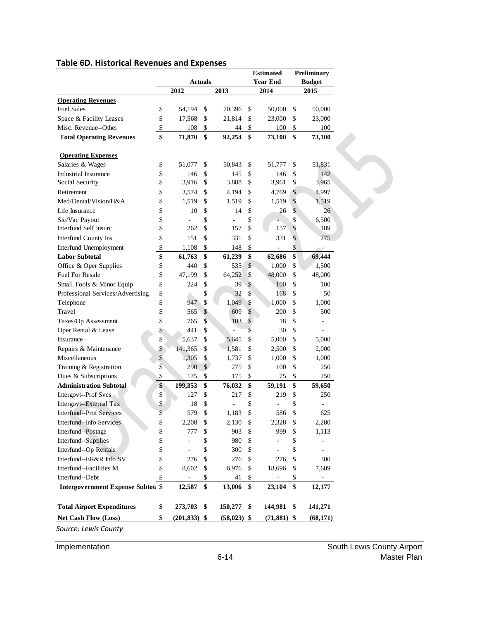| <b>Actuals</b><br><b>Year End</b><br><b>Budget</b><br>2012<br>2013<br>2014<br>2015<br><b>Operating Revenues</b><br><b>Fuel Sales</b><br>\$<br>54,194<br>\$<br>70,396<br>\$<br>50,000<br>\$<br>\$<br>\$<br>21,814<br>\$<br>23,000<br>\$<br>Space & Facility Leases<br>17,568<br>Misc. Revenue--Other<br>\$<br>\$<br>\$<br>108<br>44<br>100<br>\$<br>\$<br><b>Total Operating Revenues</b><br>71,870<br>\$<br>92,254<br>\$<br>\$<br>73,100<br><b>Operating Expenses</b><br>Salaries & Wages<br>\$<br>\$<br>51,077<br>\$<br>50,843<br>51,777<br>\$<br>\$<br><b>Industrial Insurance</b><br>\$<br>\$<br>146<br>145<br>146<br>\$<br>\$<br>\$<br>\$<br>\$<br>Social Security<br>3,916<br>3,888<br>3,961<br>\$<br>3,574<br>\$<br>\$<br>\$<br>Retirement<br>4,194<br>4,769<br>\$<br>\$<br>\$<br>\$<br>Med/Dental/Vision/H&A<br>1,519<br>1,519<br>1,519<br>\$<br>\$<br>\$<br>26<br>\$<br>Life Insurance<br>10<br>14<br>\$<br>\$<br>\$<br>\$<br>Sic/Vac Payout<br>\$<br>\$<br>\$<br><b>Interfund Self Insurc</b><br>262<br>157<br>157<br>\$<br>\$<br>\$<br>\$<br>\$<br>331<br>Interfund County Ins<br>151<br>331<br>\$<br>Interfund Unemployment<br>\$<br>\$<br>\$<br>1,108<br>148<br>\$<br>\$<br>\$<br>\$<br><b>Labor Subtotal</b><br>61,763<br>61,239<br>62,686<br>\$<br>\$<br>\$<br>Office & Oper Supplies<br>440<br>\$<br>535<br>1,000<br>\$<br>64,252<br>\$<br><b>Fuel For Resale</b><br>47,199<br>\$<br>\$<br>48,000<br>\$<br>224<br>\$<br>39<br>$\boldsymbol{\mathsf{S}}$<br>\$<br>Small Tools & Minor Equip<br>100<br>\$<br>\$<br>Professional Services/Advertising<br>\$<br>32<br>\$<br>168<br>\$<br>\$<br>1,049<br>\$<br>\$<br>Telephone<br>947<br>1,000<br>\$<br>$\mathcal{S}$<br>609<br>\$<br>\$<br>Travel<br>565<br>200<br>\$<br>765<br>\$<br>103<br>\$<br>\$<br>Taxes/Op Assessment<br>18<br>Oper Rental & Lease<br>\$<br>441<br>\$<br>\$<br>30<br>\$<br>\$<br>5,637<br>\$<br>5,645<br>\$<br>5,000<br>\$<br>Insurance<br>5,000<br>Repairs & Maintenance<br>\$<br>141,365<br>\$<br>1,581<br>\$<br>2,500<br>2,000<br>\$<br>\$<br>Miscellaneous<br>1,305<br>\$<br>1,737<br>\$<br>1,000<br>\$<br>1,000<br>\$<br>290<br>$\$$<br>275<br>\$<br>\$<br>Training & Registration<br>100<br>250<br>Dues & Subscriptions<br>\$<br>175<br>\$<br>175<br>\$<br>75<br>\$<br>\$<br>\$<br>\$<br><b>Administration Subtotal</b><br>199,353<br>\$<br>76,032<br>59,650<br>59,191<br>\$<br>\$<br>\$<br>Intergovt--Prof Svcs<br>127<br>217<br>219<br>\$<br>\$<br>\$<br>\$<br>\$<br>Intergovt--External Tax<br>18<br>\$<br><b>Interfund--Prof Services</b><br>579<br>\$<br>\$<br>\$<br>1,183<br>586<br>Interfund--Info Services<br>\$<br>2,208<br>\$<br>2,130<br>\$<br>2,328<br>\$<br>2,280<br>\$<br>777<br>\$<br>\$<br>999<br>Interfund--Postage<br>903<br>\$<br>1,113<br>\$<br>Interfund--Supplies<br>\$<br>980<br>\$<br>\$<br>÷,<br>\$<br>\$<br>\$<br>Interfund--Op Rentals<br>300<br>\$<br>\$<br>\$<br>\$<br>Interfund--ER&R Info SV<br>276<br>276<br>\$<br>276<br>300<br>\$<br>Interfund--Facilities M<br>8,602<br>\$<br>6,976<br>\$<br>18,696<br>\$<br>7,609<br>\$<br>Interfund--Debt<br>\$<br>41<br>\$<br>\$<br>\$<br>\$<br>\$<br><b>Intergovernment Expense Subtot: \$</b><br>12,587<br>13,006<br>23,104<br>12,177<br><b>Total Airport Expenditures</b><br>\$<br>273,703<br>\$<br>150,277<br>144,981<br>\$<br>\$<br>Net Cash Flow (Loss)<br>\$<br>$(201, 833)$ \$<br>$(58,023)$ \$<br>$(71,881)$ \$ |  |  |  | <b>Estimated</b> |  |  | Preliminary |           |  |
|----------------------------------------------------------------------------------------------------------------------------------------------------------------------------------------------------------------------------------------------------------------------------------------------------------------------------------------------------------------------------------------------------------------------------------------------------------------------------------------------------------------------------------------------------------------------------------------------------------------------------------------------------------------------------------------------------------------------------------------------------------------------------------------------------------------------------------------------------------------------------------------------------------------------------------------------------------------------------------------------------------------------------------------------------------------------------------------------------------------------------------------------------------------------------------------------------------------------------------------------------------------------------------------------------------------------------------------------------------------------------------------------------------------------------------------------------------------------------------------------------------------------------------------------------------------------------------------------------------------------------------------------------------------------------------------------------------------------------------------------------------------------------------------------------------------------------------------------------------------------------------------------------------------------------------------------------------------------------------------------------------------------------------------------------------------------------------------------------------------------------------------------------------------------------------------------------------------------------------------------------------------------------------------------------------------------------------------------------------------------------------------------------------------------------------------------------------------------------------------------------------------------------------------------------------------------------------------------------------------------------------------------------------------------------------------------------------------------------------------------------------------------------------------------------------------------------------------------------------------------------------------------------------------------------------------------------------------------------------------------------------------------------------------------------------------------------------------------------------------------------------------------------------------------------------------------------------------------------------------------------------------------------------------------------------------------------------------------------------------------------------------|--|--|--|------------------|--|--|-------------|-----------|--|
|                                                                                                                                                                                                                                                                                                                                                                                                                                                                                                                                                                                                                                                                                                                                                                                                                                                                                                                                                                                                                                                                                                                                                                                                                                                                                                                                                                                                                                                                                                                                                                                                                                                                                                                                                                                                                                                                                                                                                                                                                                                                                                                                                                                                                                                                                                                                                                                                                                                                                                                                                                                                                                                                                                                                                                                                                                                                                                                                                                                                                                                                                                                                                                                                                                                                                                                                                                                        |  |  |  |                  |  |  |             |           |  |
|                                                                                                                                                                                                                                                                                                                                                                                                                                                                                                                                                                                                                                                                                                                                                                                                                                                                                                                                                                                                                                                                                                                                                                                                                                                                                                                                                                                                                                                                                                                                                                                                                                                                                                                                                                                                                                                                                                                                                                                                                                                                                                                                                                                                                                                                                                                                                                                                                                                                                                                                                                                                                                                                                                                                                                                                                                                                                                                                                                                                                                                                                                                                                                                                                                                                                                                                                                                        |  |  |  |                  |  |  |             |           |  |
|                                                                                                                                                                                                                                                                                                                                                                                                                                                                                                                                                                                                                                                                                                                                                                                                                                                                                                                                                                                                                                                                                                                                                                                                                                                                                                                                                                                                                                                                                                                                                                                                                                                                                                                                                                                                                                                                                                                                                                                                                                                                                                                                                                                                                                                                                                                                                                                                                                                                                                                                                                                                                                                                                                                                                                                                                                                                                                                                                                                                                                                                                                                                                                                                                                                                                                                                                                                        |  |  |  |                  |  |  |             |           |  |
|                                                                                                                                                                                                                                                                                                                                                                                                                                                                                                                                                                                                                                                                                                                                                                                                                                                                                                                                                                                                                                                                                                                                                                                                                                                                                                                                                                                                                                                                                                                                                                                                                                                                                                                                                                                                                                                                                                                                                                                                                                                                                                                                                                                                                                                                                                                                                                                                                                                                                                                                                                                                                                                                                                                                                                                                                                                                                                                                                                                                                                                                                                                                                                                                                                                                                                                                                                                        |  |  |  |                  |  |  |             | 50,000    |  |
|                                                                                                                                                                                                                                                                                                                                                                                                                                                                                                                                                                                                                                                                                                                                                                                                                                                                                                                                                                                                                                                                                                                                                                                                                                                                                                                                                                                                                                                                                                                                                                                                                                                                                                                                                                                                                                                                                                                                                                                                                                                                                                                                                                                                                                                                                                                                                                                                                                                                                                                                                                                                                                                                                                                                                                                                                                                                                                                                                                                                                                                                                                                                                                                                                                                                                                                                                                                        |  |  |  |                  |  |  |             | 23,000    |  |
|                                                                                                                                                                                                                                                                                                                                                                                                                                                                                                                                                                                                                                                                                                                                                                                                                                                                                                                                                                                                                                                                                                                                                                                                                                                                                                                                                                                                                                                                                                                                                                                                                                                                                                                                                                                                                                                                                                                                                                                                                                                                                                                                                                                                                                                                                                                                                                                                                                                                                                                                                                                                                                                                                                                                                                                                                                                                                                                                                                                                                                                                                                                                                                                                                                                                                                                                                                                        |  |  |  |                  |  |  |             | 100       |  |
|                                                                                                                                                                                                                                                                                                                                                                                                                                                                                                                                                                                                                                                                                                                                                                                                                                                                                                                                                                                                                                                                                                                                                                                                                                                                                                                                                                                                                                                                                                                                                                                                                                                                                                                                                                                                                                                                                                                                                                                                                                                                                                                                                                                                                                                                                                                                                                                                                                                                                                                                                                                                                                                                                                                                                                                                                                                                                                                                                                                                                                                                                                                                                                                                                                                                                                                                                                                        |  |  |  |                  |  |  |             | 73,100    |  |
|                                                                                                                                                                                                                                                                                                                                                                                                                                                                                                                                                                                                                                                                                                                                                                                                                                                                                                                                                                                                                                                                                                                                                                                                                                                                                                                                                                                                                                                                                                                                                                                                                                                                                                                                                                                                                                                                                                                                                                                                                                                                                                                                                                                                                                                                                                                                                                                                                                                                                                                                                                                                                                                                                                                                                                                                                                                                                                                                                                                                                                                                                                                                                                                                                                                                                                                                                                                        |  |  |  |                  |  |  |             |           |  |
|                                                                                                                                                                                                                                                                                                                                                                                                                                                                                                                                                                                                                                                                                                                                                                                                                                                                                                                                                                                                                                                                                                                                                                                                                                                                                                                                                                                                                                                                                                                                                                                                                                                                                                                                                                                                                                                                                                                                                                                                                                                                                                                                                                                                                                                                                                                                                                                                                                                                                                                                                                                                                                                                                                                                                                                                                                                                                                                                                                                                                                                                                                                                                                                                                                                                                                                                                                                        |  |  |  |                  |  |  |             |           |  |
|                                                                                                                                                                                                                                                                                                                                                                                                                                                                                                                                                                                                                                                                                                                                                                                                                                                                                                                                                                                                                                                                                                                                                                                                                                                                                                                                                                                                                                                                                                                                                                                                                                                                                                                                                                                                                                                                                                                                                                                                                                                                                                                                                                                                                                                                                                                                                                                                                                                                                                                                                                                                                                                                                                                                                                                                                                                                                                                                                                                                                                                                                                                                                                                                                                                                                                                                                                                        |  |  |  |                  |  |  |             | 51,831    |  |
|                                                                                                                                                                                                                                                                                                                                                                                                                                                                                                                                                                                                                                                                                                                                                                                                                                                                                                                                                                                                                                                                                                                                                                                                                                                                                                                                                                                                                                                                                                                                                                                                                                                                                                                                                                                                                                                                                                                                                                                                                                                                                                                                                                                                                                                                                                                                                                                                                                                                                                                                                                                                                                                                                                                                                                                                                                                                                                                                                                                                                                                                                                                                                                                                                                                                                                                                                                                        |  |  |  |                  |  |  |             | 142       |  |
|                                                                                                                                                                                                                                                                                                                                                                                                                                                                                                                                                                                                                                                                                                                                                                                                                                                                                                                                                                                                                                                                                                                                                                                                                                                                                                                                                                                                                                                                                                                                                                                                                                                                                                                                                                                                                                                                                                                                                                                                                                                                                                                                                                                                                                                                                                                                                                                                                                                                                                                                                                                                                                                                                                                                                                                                                                                                                                                                                                                                                                                                                                                                                                                                                                                                                                                                                                                        |  |  |  |                  |  |  |             | 3,965     |  |
|                                                                                                                                                                                                                                                                                                                                                                                                                                                                                                                                                                                                                                                                                                                                                                                                                                                                                                                                                                                                                                                                                                                                                                                                                                                                                                                                                                                                                                                                                                                                                                                                                                                                                                                                                                                                                                                                                                                                                                                                                                                                                                                                                                                                                                                                                                                                                                                                                                                                                                                                                                                                                                                                                                                                                                                                                                                                                                                                                                                                                                                                                                                                                                                                                                                                                                                                                                                        |  |  |  |                  |  |  |             | 4,997     |  |
|                                                                                                                                                                                                                                                                                                                                                                                                                                                                                                                                                                                                                                                                                                                                                                                                                                                                                                                                                                                                                                                                                                                                                                                                                                                                                                                                                                                                                                                                                                                                                                                                                                                                                                                                                                                                                                                                                                                                                                                                                                                                                                                                                                                                                                                                                                                                                                                                                                                                                                                                                                                                                                                                                                                                                                                                                                                                                                                                                                                                                                                                                                                                                                                                                                                                                                                                                                                        |  |  |  |                  |  |  |             | 1,519     |  |
|                                                                                                                                                                                                                                                                                                                                                                                                                                                                                                                                                                                                                                                                                                                                                                                                                                                                                                                                                                                                                                                                                                                                                                                                                                                                                                                                                                                                                                                                                                                                                                                                                                                                                                                                                                                                                                                                                                                                                                                                                                                                                                                                                                                                                                                                                                                                                                                                                                                                                                                                                                                                                                                                                                                                                                                                                                                                                                                                                                                                                                                                                                                                                                                                                                                                                                                                                                                        |  |  |  |                  |  |  |             | 26        |  |
|                                                                                                                                                                                                                                                                                                                                                                                                                                                                                                                                                                                                                                                                                                                                                                                                                                                                                                                                                                                                                                                                                                                                                                                                                                                                                                                                                                                                                                                                                                                                                                                                                                                                                                                                                                                                                                                                                                                                                                                                                                                                                                                                                                                                                                                                                                                                                                                                                                                                                                                                                                                                                                                                                                                                                                                                                                                                                                                                                                                                                                                                                                                                                                                                                                                                                                                                                                                        |  |  |  |                  |  |  |             | 6,500     |  |
|                                                                                                                                                                                                                                                                                                                                                                                                                                                                                                                                                                                                                                                                                                                                                                                                                                                                                                                                                                                                                                                                                                                                                                                                                                                                                                                                                                                                                                                                                                                                                                                                                                                                                                                                                                                                                                                                                                                                                                                                                                                                                                                                                                                                                                                                                                                                                                                                                                                                                                                                                                                                                                                                                                                                                                                                                                                                                                                                                                                                                                                                                                                                                                                                                                                                                                                                                                                        |  |  |  |                  |  |  |             | 189       |  |
|                                                                                                                                                                                                                                                                                                                                                                                                                                                                                                                                                                                                                                                                                                                                                                                                                                                                                                                                                                                                                                                                                                                                                                                                                                                                                                                                                                                                                                                                                                                                                                                                                                                                                                                                                                                                                                                                                                                                                                                                                                                                                                                                                                                                                                                                                                                                                                                                                                                                                                                                                                                                                                                                                                                                                                                                                                                                                                                                                                                                                                                                                                                                                                                                                                                                                                                                                                                        |  |  |  |                  |  |  |             | 275       |  |
|                                                                                                                                                                                                                                                                                                                                                                                                                                                                                                                                                                                                                                                                                                                                                                                                                                                                                                                                                                                                                                                                                                                                                                                                                                                                                                                                                                                                                                                                                                                                                                                                                                                                                                                                                                                                                                                                                                                                                                                                                                                                                                                                                                                                                                                                                                                                                                                                                                                                                                                                                                                                                                                                                                                                                                                                                                                                                                                                                                                                                                                                                                                                                                                                                                                                                                                                                                                        |  |  |  |                  |  |  |             |           |  |
|                                                                                                                                                                                                                                                                                                                                                                                                                                                                                                                                                                                                                                                                                                                                                                                                                                                                                                                                                                                                                                                                                                                                                                                                                                                                                                                                                                                                                                                                                                                                                                                                                                                                                                                                                                                                                                                                                                                                                                                                                                                                                                                                                                                                                                                                                                                                                                                                                                                                                                                                                                                                                                                                                                                                                                                                                                                                                                                                                                                                                                                                                                                                                                                                                                                                                                                                                                                        |  |  |  |                  |  |  |             | 69,444    |  |
|                                                                                                                                                                                                                                                                                                                                                                                                                                                                                                                                                                                                                                                                                                                                                                                                                                                                                                                                                                                                                                                                                                                                                                                                                                                                                                                                                                                                                                                                                                                                                                                                                                                                                                                                                                                                                                                                                                                                                                                                                                                                                                                                                                                                                                                                                                                                                                                                                                                                                                                                                                                                                                                                                                                                                                                                                                                                                                                                                                                                                                                                                                                                                                                                                                                                                                                                                                                        |  |  |  |                  |  |  |             | 1,500     |  |
|                                                                                                                                                                                                                                                                                                                                                                                                                                                                                                                                                                                                                                                                                                                                                                                                                                                                                                                                                                                                                                                                                                                                                                                                                                                                                                                                                                                                                                                                                                                                                                                                                                                                                                                                                                                                                                                                                                                                                                                                                                                                                                                                                                                                                                                                                                                                                                                                                                                                                                                                                                                                                                                                                                                                                                                                                                                                                                                                                                                                                                                                                                                                                                                                                                                                                                                                                                                        |  |  |  |                  |  |  |             | 48,000    |  |
|                                                                                                                                                                                                                                                                                                                                                                                                                                                                                                                                                                                                                                                                                                                                                                                                                                                                                                                                                                                                                                                                                                                                                                                                                                                                                                                                                                                                                                                                                                                                                                                                                                                                                                                                                                                                                                                                                                                                                                                                                                                                                                                                                                                                                                                                                                                                                                                                                                                                                                                                                                                                                                                                                                                                                                                                                                                                                                                                                                                                                                                                                                                                                                                                                                                                                                                                                                                        |  |  |  |                  |  |  |             | 100       |  |
|                                                                                                                                                                                                                                                                                                                                                                                                                                                                                                                                                                                                                                                                                                                                                                                                                                                                                                                                                                                                                                                                                                                                                                                                                                                                                                                                                                                                                                                                                                                                                                                                                                                                                                                                                                                                                                                                                                                                                                                                                                                                                                                                                                                                                                                                                                                                                                                                                                                                                                                                                                                                                                                                                                                                                                                                                                                                                                                                                                                                                                                                                                                                                                                                                                                                                                                                                                                        |  |  |  |                  |  |  |             | 50        |  |
|                                                                                                                                                                                                                                                                                                                                                                                                                                                                                                                                                                                                                                                                                                                                                                                                                                                                                                                                                                                                                                                                                                                                                                                                                                                                                                                                                                                                                                                                                                                                                                                                                                                                                                                                                                                                                                                                                                                                                                                                                                                                                                                                                                                                                                                                                                                                                                                                                                                                                                                                                                                                                                                                                                                                                                                                                                                                                                                                                                                                                                                                                                                                                                                                                                                                                                                                                                                        |  |  |  |                  |  |  |             | 1,000     |  |
|                                                                                                                                                                                                                                                                                                                                                                                                                                                                                                                                                                                                                                                                                                                                                                                                                                                                                                                                                                                                                                                                                                                                                                                                                                                                                                                                                                                                                                                                                                                                                                                                                                                                                                                                                                                                                                                                                                                                                                                                                                                                                                                                                                                                                                                                                                                                                                                                                                                                                                                                                                                                                                                                                                                                                                                                                                                                                                                                                                                                                                                                                                                                                                                                                                                                                                                                                                                        |  |  |  |                  |  |  |             | 500       |  |
|                                                                                                                                                                                                                                                                                                                                                                                                                                                                                                                                                                                                                                                                                                                                                                                                                                                                                                                                                                                                                                                                                                                                                                                                                                                                                                                                                                                                                                                                                                                                                                                                                                                                                                                                                                                                                                                                                                                                                                                                                                                                                                                                                                                                                                                                                                                                                                                                                                                                                                                                                                                                                                                                                                                                                                                                                                                                                                                                                                                                                                                                                                                                                                                                                                                                                                                                                                                        |  |  |  |                  |  |  |             |           |  |
|                                                                                                                                                                                                                                                                                                                                                                                                                                                                                                                                                                                                                                                                                                                                                                                                                                                                                                                                                                                                                                                                                                                                                                                                                                                                                                                                                                                                                                                                                                                                                                                                                                                                                                                                                                                                                                                                                                                                                                                                                                                                                                                                                                                                                                                                                                                                                                                                                                                                                                                                                                                                                                                                                                                                                                                                                                                                                                                                                                                                                                                                                                                                                                                                                                                                                                                                                                                        |  |  |  |                  |  |  |             |           |  |
|                                                                                                                                                                                                                                                                                                                                                                                                                                                                                                                                                                                                                                                                                                                                                                                                                                                                                                                                                                                                                                                                                                                                                                                                                                                                                                                                                                                                                                                                                                                                                                                                                                                                                                                                                                                                                                                                                                                                                                                                                                                                                                                                                                                                                                                                                                                                                                                                                                                                                                                                                                                                                                                                                                                                                                                                                                                                                                                                                                                                                                                                                                                                                                                                                                                                                                                                                                                        |  |  |  |                  |  |  |             |           |  |
|                                                                                                                                                                                                                                                                                                                                                                                                                                                                                                                                                                                                                                                                                                                                                                                                                                                                                                                                                                                                                                                                                                                                                                                                                                                                                                                                                                                                                                                                                                                                                                                                                                                                                                                                                                                                                                                                                                                                                                                                                                                                                                                                                                                                                                                                                                                                                                                                                                                                                                                                                                                                                                                                                                                                                                                                                                                                                                                                                                                                                                                                                                                                                                                                                                                                                                                                                                                        |  |  |  |                  |  |  |             |           |  |
|                                                                                                                                                                                                                                                                                                                                                                                                                                                                                                                                                                                                                                                                                                                                                                                                                                                                                                                                                                                                                                                                                                                                                                                                                                                                                                                                                                                                                                                                                                                                                                                                                                                                                                                                                                                                                                                                                                                                                                                                                                                                                                                                                                                                                                                                                                                                                                                                                                                                                                                                                                                                                                                                                                                                                                                                                                                                                                                                                                                                                                                                                                                                                                                                                                                                                                                                                                                        |  |  |  |                  |  |  |             |           |  |
|                                                                                                                                                                                                                                                                                                                                                                                                                                                                                                                                                                                                                                                                                                                                                                                                                                                                                                                                                                                                                                                                                                                                                                                                                                                                                                                                                                                                                                                                                                                                                                                                                                                                                                                                                                                                                                                                                                                                                                                                                                                                                                                                                                                                                                                                                                                                                                                                                                                                                                                                                                                                                                                                                                                                                                                                                                                                                                                                                                                                                                                                                                                                                                                                                                                                                                                                                                                        |  |  |  |                  |  |  |             |           |  |
|                                                                                                                                                                                                                                                                                                                                                                                                                                                                                                                                                                                                                                                                                                                                                                                                                                                                                                                                                                                                                                                                                                                                                                                                                                                                                                                                                                                                                                                                                                                                                                                                                                                                                                                                                                                                                                                                                                                                                                                                                                                                                                                                                                                                                                                                                                                                                                                                                                                                                                                                                                                                                                                                                                                                                                                                                                                                                                                                                                                                                                                                                                                                                                                                                                                                                                                                                                                        |  |  |  |                  |  |  |             | 250       |  |
|                                                                                                                                                                                                                                                                                                                                                                                                                                                                                                                                                                                                                                                                                                                                                                                                                                                                                                                                                                                                                                                                                                                                                                                                                                                                                                                                                                                                                                                                                                                                                                                                                                                                                                                                                                                                                                                                                                                                                                                                                                                                                                                                                                                                                                                                                                                                                                                                                                                                                                                                                                                                                                                                                                                                                                                                                                                                                                                                                                                                                                                                                                                                                                                                                                                                                                                                                                                        |  |  |  |                  |  |  |             |           |  |
|                                                                                                                                                                                                                                                                                                                                                                                                                                                                                                                                                                                                                                                                                                                                                                                                                                                                                                                                                                                                                                                                                                                                                                                                                                                                                                                                                                                                                                                                                                                                                                                                                                                                                                                                                                                                                                                                                                                                                                                                                                                                                                                                                                                                                                                                                                                                                                                                                                                                                                                                                                                                                                                                                                                                                                                                                                                                                                                                                                                                                                                                                                                                                                                                                                                                                                                                                                                        |  |  |  |                  |  |  |             | 250       |  |
|                                                                                                                                                                                                                                                                                                                                                                                                                                                                                                                                                                                                                                                                                                                                                                                                                                                                                                                                                                                                                                                                                                                                                                                                                                                                                                                                                                                                                                                                                                                                                                                                                                                                                                                                                                                                                                                                                                                                                                                                                                                                                                                                                                                                                                                                                                                                                                                                                                                                                                                                                                                                                                                                                                                                                                                                                                                                                                                                                                                                                                                                                                                                                                                                                                                                                                                                                                                        |  |  |  |                  |  |  |             |           |  |
|                                                                                                                                                                                                                                                                                                                                                                                                                                                                                                                                                                                                                                                                                                                                                                                                                                                                                                                                                                                                                                                                                                                                                                                                                                                                                                                                                                                                                                                                                                                                                                                                                                                                                                                                                                                                                                                                                                                                                                                                                                                                                                                                                                                                                                                                                                                                                                                                                                                                                                                                                                                                                                                                                                                                                                                                                                                                                                                                                                                                                                                                                                                                                                                                                                                                                                                                                                                        |  |  |  |                  |  |  |             | 625       |  |
|                                                                                                                                                                                                                                                                                                                                                                                                                                                                                                                                                                                                                                                                                                                                                                                                                                                                                                                                                                                                                                                                                                                                                                                                                                                                                                                                                                                                                                                                                                                                                                                                                                                                                                                                                                                                                                                                                                                                                                                                                                                                                                                                                                                                                                                                                                                                                                                                                                                                                                                                                                                                                                                                                                                                                                                                                                                                                                                                                                                                                                                                                                                                                                                                                                                                                                                                                                                        |  |  |  |                  |  |  |             |           |  |
|                                                                                                                                                                                                                                                                                                                                                                                                                                                                                                                                                                                                                                                                                                                                                                                                                                                                                                                                                                                                                                                                                                                                                                                                                                                                                                                                                                                                                                                                                                                                                                                                                                                                                                                                                                                                                                                                                                                                                                                                                                                                                                                                                                                                                                                                                                                                                                                                                                                                                                                                                                                                                                                                                                                                                                                                                                                                                                                                                                                                                                                                                                                                                                                                                                                                                                                                                                                        |  |  |  |                  |  |  |             |           |  |
|                                                                                                                                                                                                                                                                                                                                                                                                                                                                                                                                                                                                                                                                                                                                                                                                                                                                                                                                                                                                                                                                                                                                                                                                                                                                                                                                                                                                                                                                                                                                                                                                                                                                                                                                                                                                                                                                                                                                                                                                                                                                                                                                                                                                                                                                                                                                                                                                                                                                                                                                                                                                                                                                                                                                                                                                                                                                                                                                                                                                                                                                                                                                                                                                                                                                                                                                                                                        |  |  |  |                  |  |  |             |           |  |
|                                                                                                                                                                                                                                                                                                                                                                                                                                                                                                                                                                                                                                                                                                                                                                                                                                                                                                                                                                                                                                                                                                                                                                                                                                                                                                                                                                                                                                                                                                                                                                                                                                                                                                                                                                                                                                                                                                                                                                                                                                                                                                                                                                                                                                                                                                                                                                                                                                                                                                                                                                                                                                                                                                                                                                                                                                                                                                                                                                                                                                                                                                                                                                                                                                                                                                                                                                                        |  |  |  |                  |  |  |             |           |  |
|                                                                                                                                                                                                                                                                                                                                                                                                                                                                                                                                                                                                                                                                                                                                                                                                                                                                                                                                                                                                                                                                                                                                                                                                                                                                                                                                                                                                                                                                                                                                                                                                                                                                                                                                                                                                                                                                                                                                                                                                                                                                                                                                                                                                                                                                                                                                                                                                                                                                                                                                                                                                                                                                                                                                                                                                                                                                                                                                                                                                                                                                                                                                                                                                                                                                                                                                                                                        |  |  |  |                  |  |  |             |           |  |
|                                                                                                                                                                                                                                                                                                                                                                                                                                                                                                                                                                                                                                                                                                                                                                                                                                                                                                                                                                                                                                                                                                                                                                                                                                                                                                                                                                                                                                                                                                                                                                                                                                                                                                                                                                                                                                                                                                                                                                                                                                                                                                                                                                                                                                                                                                                                                                                                                                                                                                                                                                                                                                                                                                                                                                                                                                                                                                                                                                                                                                                                                                                                                                                                                                                                                                                                                                                        |  |  |  |                  |  |  |             |           |  |
|                                                                                                                                                                                                                                                                                                                                                                                                                                                                                                                                                                                                                                                                                                                                                                                                                                                                                                                                                                                                                                                                                                                                                                                                                                                                                                                                                                                                                                                                                                                                                                                                                                                                                                                                                                                                                                                                                                                                                                                                                                                                                                                                                                                                                                                                                                                                                                                                                                                                                                                                                                                                                                                                                                                                                                                                                                                                                                                                                                                                                                                                                                                                                                                                                                                                                                                                                                                        |  |  |  |                  |  |  |             |           |  |
|                                                                                                                                                                                                                                                                                                                                                                                                                                                                                                                                                                                                                                                                                                                                                                                                                                                                                                                                                                                                                                                                                                                                                                                                                                                                                                                                                                                                                                                                                                                                                                                                                                                                                                                                                                                                                                                                                                                                                                                                                                                                                                                                                                                                                                                                                                                                                                                                                                                                                                                                                                                                                                                                                                                                                                                                                                                                                                                                                                                                                                                                                                                                                                                                                                                                                                                                                                                        |  |  |  |                  |  |  |             |           |  |
|                                                                                                                                                                                                                                                                                                                                                                                                                                                                                                                                                                                                                                                                                                                                                                                                                                                                                                                                                                                                                                                                                                                                                                                                                                                                                                                                                                                                                                                                                                                                                                                                                                                                                                                                                                                                                                                                                                                                                                                                                                                                                                                                                                                                                                                                                                                                                                                                                                                                                                                                                                                                                                                                                                                                                                                                                                                                                                                                                                                                                                                                                                                                                                                                                                                                                                                                                                                        |  |  |  |                  |  |  |             |           |  |
|                                                                                                                                                                                                                                                                                                                                                                                                                                                                                                                                                                                                                                                                                                                                                                                                                                                                                                                                                                                                                                                                                                                                                                                                                                                                                                                                                                                                                                                                                                                                                                                                                                                                                                                                                                                                                                                                                                                                                                                                                                                                                                                                                                                                                                                                                                                                                                                                                                                                                                                                                                                                                                                                                                                                                                                                                                                                                                                                                                                                                                                                                                                                                                                                                                                                                                                                                                                        |  |  |  |                  |  |  |             | 141,271   |  |
|                                                                                                                                                                                                                                                                                                                                                                                                                                                                                                                                                                                                                                                                                                                                                                                                                                                                                                                                                                                                                                                                                                                                                                                                                                                                                                                                                                                                                                                                                                                                                                                                                                                                                                                                                                                                                                                                                                                                                                                                                                                                                                                                                                                                                                                                                                                                                                                                                                                                                                                                                                                                                                                                                                                                                                                                                                                                                                                                                                                                                                                                                                                                                                                                                                                                                                                                                                                        |  |  |  |                  |  |  |             | (68, 171) |  |
| Source: Lewis County                                                                                                                                                                                                                                                                                                                                                                                                                                                                                                                                                                                                                                                                                                                                                                                                                                                                                                                                                                                                                                                                                                                                                                                                                                                                                                                                                                                                                                                                                                                                                                                                                                                                                                                                                                                                                                                                                                                                                                                                                                                                                                                                                                                                                                                                                                                                                                                                                                                                                                                                                                                                                                                                                                                                                                                                                                                                                                                                                                                                                                                                                                                                                                                                                                                                                                                                                                   |  |  |  |                  |  |  |             |           |  |

# **Table 6D. Historical Revenues and Expenses**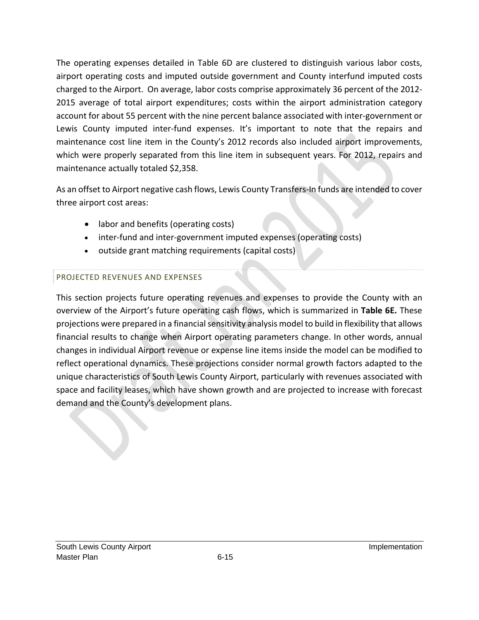The operating expenses detailed in Table 6D are clustered to distinguish various labor costs, airport operating costs and imputed outside government and County interfund imputed costs charged to the Airport. On average, labor costs comprise approximately 36 percent of the 2012‐ 2015 average of total airport expenditures; costs within the airport administration category account for about 55 percent with the nine percent balance associated with inter‐government or Lewis County imputed inter-fund expenses. It's important to note that the repairs and maintenance cost line item in the County's 2012 records also included airport improvements, which were properly separated from this line item in subsequent years. For 2012, repairs and maintenance actually totaled \$2,358.

As an offset to Airport negative cash flows, Lewis County Transfers‐In funds are intended to cover three airport cost areas:

- labor and benefits (operating costs)
- inter-fund and inter-government imputed expenses (operating costs)
- outside grant matching requirements (capital costs)

### PROJECTED REVENUES AND EXPENSES

This section projects future operating revenues and expenses to provide the County with an overview of the Airport's future operating cash flows, which is summarized in **Table 6E.** These projections were prepared in a financial sensitivity analysis model to build in flexibility that allows financial results to change when Airport operating parameters change. In other words, annual changes in individual Airport revenue or expense line items inside the model can be modified to reflect operational dynamics. These projections consider normal growth factors adapted to the unique characteristics of South Lewis County Airport, particularly with revenues associated with space and facility leases, which have shown growth and are projected to increase with forecast demand and the County's development plans.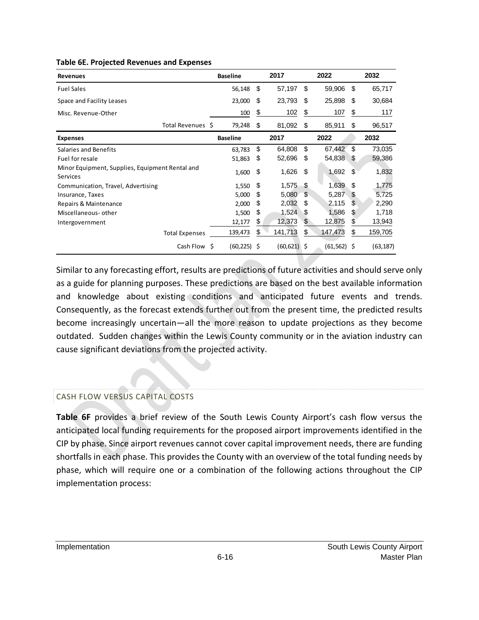| <b>Revenues</b>                                                    | <b>Baseline</b> |    | 2017           |    | 2022           |     | 2032      |
|--------------------------------------------------------------------|-----------------|----|----------------|----|----------------|-----|-----------|
| <b>Fuel Sales</b>                                                  | 56,148          | \$ | 57,197         | \$ | 59,906         | \$  | 65,717    |
| Space and Facility Leases                                          | 23,000          | S  | 23,793         | \$ | 25,898         | \$  | 30,684    |
| Misc. Revenue-Other                                                | 100             | \$ | 102            | \$ | 107            | \$  | 117       |
| Total Revenues \$                                                  | 79,248          | S  | 81,092         | S  | 85,911         | S   | 96,517    |
| <b>Expenses</b>                                                    | <b>Baseline</b> |    | 2017           |    | 2022           |     | 2032      |
| Salaries and Benefits                                              | 63,783          | \$ | 64,808         | \$ | 67,442         | \$  | 73,035    |
| Fuel for resale                                                    | 51,863          | S  | 52,696         | \$ | 54,838         | S.  | 59,386    |
| Minor Equipment, Supplies, Equipment Rental and<br><b>Services</b> | 1,600           | \$ | 1,626          | \$ | 1,692          | \$  | 1,832     |
| Communication, Travel, Advertising                                 | 1,550           | \$ | 1,575          | \$ | 1,639          | \$  | 1,775     |
| Insurance, Taxes                                                   | 5,000           | \$ | 5,080          | \$ | 5,287          | \$  | 5,725     |
| Repairs & Maintenance                                              | 2,000           | S  | 2,032          | S  | 2,115          | \$  | 2,290     |
| Miscellaneous- other                                               | 1,500           | \$ | 1,524          | \$ | 1,586          | \$. | 1,718     |
| Intergovernment                                                    | 12,177          | \$ | 12,373         | \$ | 12,875         | \$  | 13,943    |
| <b>Total Expenses</b>                                              | 139,473         | \$ | 141,713        | \$ | 147,473        | S   | 159,705   |
| Cash Flow \$                                                       | $(60, 225)$ \$  |    | $(60, 621)$ \$ |    | $(61, 562)$ \$ |     | (63, 187) |

#### **Table 6E. Projected Revenues and Expenses**

Similar to any forecasting effort, results are predictions of future activities and should serve only as a guide for planning purposes. These predictions are based on the best available information and knowledge about existing conditions and anticipated future events and trends. Consequently, as the forecast extends further out from the present time, the predicted results become increasingly uncertain—all the more reason to update projections as they become outdated. Sudden changes within the Lewis County community or in the aviation industry can cause significant deviations from the projected activity.

#### CASH FLOW VERSUS CAPITAL COSTS

**Table 6F** provides a brief review of the South Lewis County Airport's cash flow versus the anticipated local funding requirements for the proposed airport improvements identified in the CIP by phase. Since airport revenues cannot cover capital improvement needs, there are funding shortfalls in each phase. This provides the County with an overview of the total funding needs by phase, which will require one or a combination of the following actions throughout the CIP implementation process: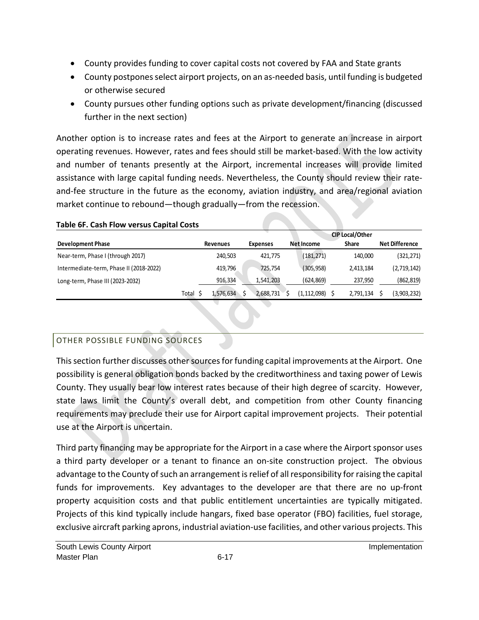- County provides funding to cover capital costs not covered by FAA and State grants
- County postpones select airport projects, on an as-needed basis, until funding is budgeted or otherwise secured
- County pursues other funding options such as private development/financing (discussed further in the next section)

Another option is to increase rates and fees at the Airport to generate an increase in airport operating revenues. However, rates and fees should still be market‐based. With the low activity and number of tenants presently at the Airport, incremental increases will provide limited assistance with large capital funding needs. Nevertheless, the County should review their rate‐ and-fee structure in the future as the economy, aviation industry, and area/regional aviation market continue to rebound—though gradually—from the recession.

|                                         |       | <b>CIP Local/Other</b> |                 |             |              |                       |  |  |  |  |  |
|-----------------------------------------|-------|------------------------|-----------------|-------------|--------------|-----------------------|--|--|--|--|--|
| <b>Development Phase</b>                |       | <b>Revenues</b>        | <b>Expenses</b> | Net Income  | <b>Share</b> | <b>Net Difference</b> |  |  |  |  |  |
| Near-term, Phase I (through 2017)       |       | 240.503                | 421.775         | (181, 271)  | 140,000      | (321,271)             |  |  |  |  |  |
| Intermediate-term, Phase II (2018-2022) |       | 419.796                | 725.754         | (305, 958)  | 2,413,184    | (2,719,142)           |  |  |  |  |  |
| Long-term, Phase III (2023-2032)        |       | 916,334                | 1,541,203       | (624,869)   | 237,950      | (862,819)             |  |  |  |  |  |
|                                         | Total | 1.576.634              | 2,688,731       | (1,112,098) | 2,791,134    | (3,903,232)           |  |  |  |  |  |

### **Table 6F. Cash Flow versus Capital Costs**

# OTHER POSSIBLE FUNDING SOURCES

This section further discusses other sources for funding capital improvements at the Airport. One possibility is general obligation bonds backed by the creditworthiness and taxing power of Lewis County. They usually bear low interest rates because of their high degree of scarcity. However, state laws limit the County's overall debt, and competition from other County financing requirements may preclude their use for Airport capital improvement projects. Their potential use at the Airport is uncertain.

Third party financing may be appropriate for the Airport in a case where the Airport sponsor uses a third party developer or a tenant to finance an on-site construction project. The obvious advantage to the County of such an arrangement is relief of all responsibility for raising the capital funds for improvements. Key advantages to the developer are that there are no up-front property acquisition costs and that public entitlement uncertainties are typically mitigated. Projects of this kind typically include hangars, fixed base operator (FBO) facilities, fuel storage, exclusive aircraft parking aprons, industrial aviation‐use facilities, and other various projects. This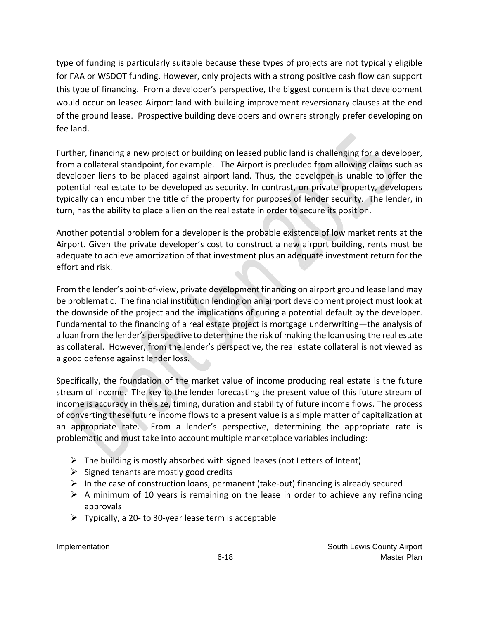type of funding is particularly suitable because these types of projects are not typically eligible for FAA or WSDOT funding. However, only projects with a strong positive cash flow can support this type of financing. From a developer's perspective, the biggest concern is that development would occur on leased Airport land with building improvement reversionary clauses at the end of the ground lease. Prospective building developers and owners strongly prefer developing on fee land.

Further, financing a new project or building on leased public land is challenging for a developer, from a collateral standpoint, for example. The Airport is precluded from allowing claims such as developer liens to be placed against airport land. Thus, the developer is unable to offer the potential real estate to be developed as security. In contrast, on private property, developers typically can encumber the title of the property for purposes of lender security. The lender, in turn, has the ability to place a lien on the real estate in order to secure its position.

Another potential problem for a developer is the probable existence of low market rents at the Airport. Given the private developer's cost to construct a new airport building, rents must be adequate to achieve amortization of that investment plus an adequate investment return for the effort and risk.

From the lender's point-of-view, private development financing on airport ground lease land may be problematic. The financial institution lending on an airport development project must look at the downside of the project and the implications of curing a potential default by the developer. Fundamental to the financing of a real estate project is mortgage underwriting—the analysis of a loan from the lender's perspective to determine the risk of making the loan using the real estate as collateral. However, from the lender's perspective, the real estate collateral is not viewed as a good defense against lender loss.

Specifically, the foundation of the market value of income producing real estate is the future stream of income. The key to the lender forecasting the present value of this future stream of income is accuracy in the size, timing, duration and stability of future income flows. The process of converting these future income flows to a present value is a simple matter of capitalization at an appropriate rate. From a lender's perspective, determining the appropriate rate is problematic and must take into account multiple marketplace variables including:

- $\triangleright$  The building is mostly absorbed with signed leases (not Letters of Intent)
- $\triangleright$  Signed tenants are mostly good credits
- $\triangleright$  In the case of construction loans, permanent (take-out) financing is already secured
- $\triangleright$  A minimum of 10 years is remaining on the lease in order to achieve any refinancing approvals
- $\triangleright$  Typically, a 20- to 30-year lease term is acceptable